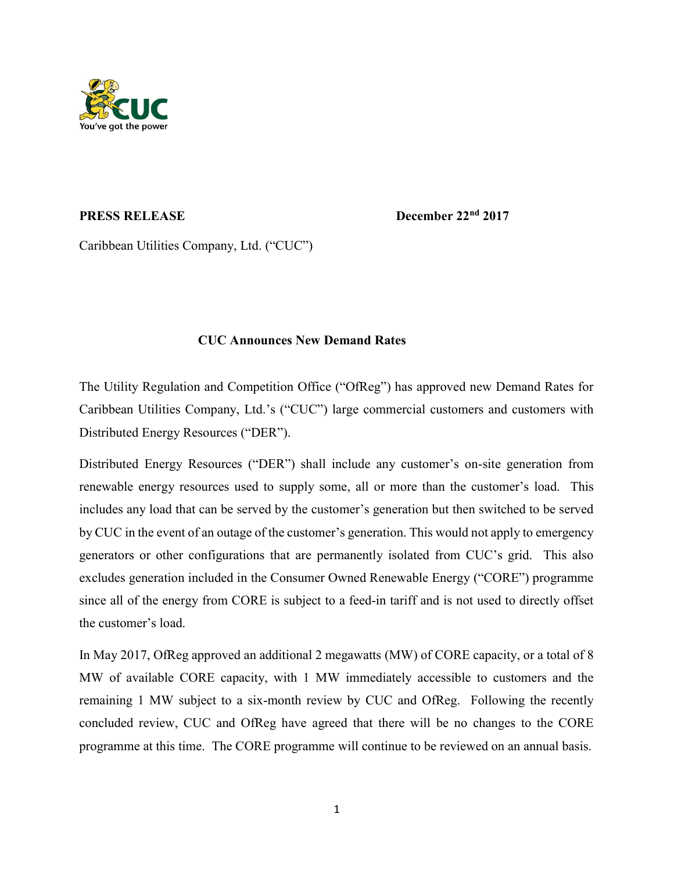

**PRESS RELEASE December 22<sup>nd</sup> 2017** 

Caribbean Utilities Company, Ltd. ("CUC")

## CUC Announces New Demand Rates

The Utility Regulation and Competition Office ("OfReg") has approved new Demand Rates for Caribbean Utilities Company, Ltd.'s ("CUC") large commercial customers and customers with Distributed Energy Resources ("DER").

Distributed Energy Resources ("DER") shall include any customer's on-site generation from renewable energy resources used to supply some, all or more than the customer's load. This includes any load that can be served by the customer's generation but then switched to be served by CUC in the event of an outage of the customer's generation. This would not apply to emergency generators or other configurations that are permanently isolated from CUC's grid. This also excludes generation included in the Consumer Owned Renewable Energy ("CORE") programme since all of the energy from CORE is subject to a feed-in tariff and is not used to directly offset the customer's load.

In May 2017, OfReg approved an additional 2 megawatts (MW) of CORE capacity, or a total of 8 MW of available CORE capacity, with 1 MW immediately accessible to customers and the remaining 1 MW subject to a six-month review by CUC and OfReg. Following the recently concluded review, CUC and OfReg have agreed that there will be no changes to the CORE programme at this time. The CORE programme will continue to be reviewed on an annual basis.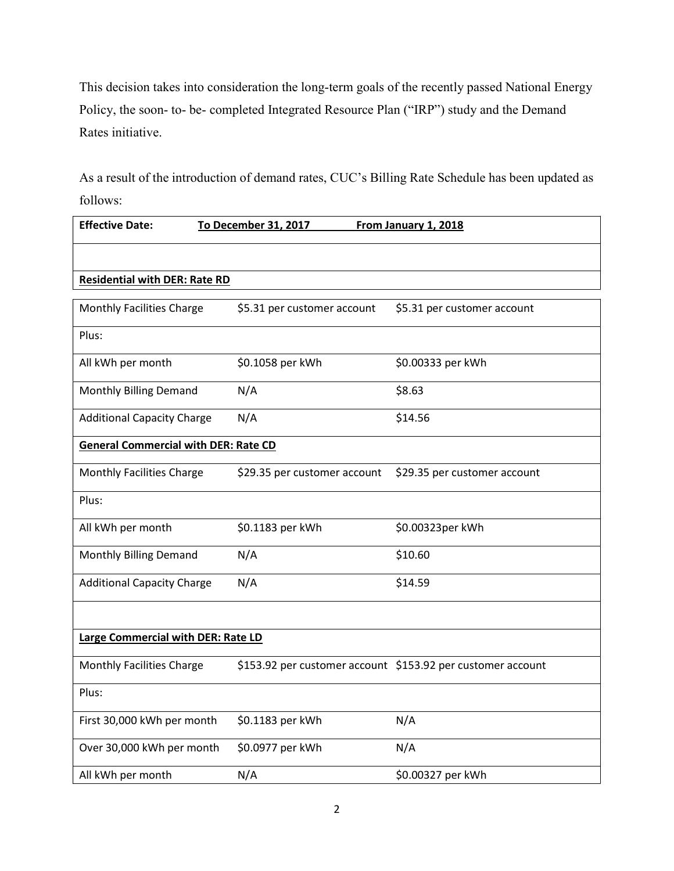This decision takes into consideration the long-term goals of the recently passed National Energy Policy, the soon- to- be- completed Integrated Resource Plan ("IRP") study and the Demand Rates initiative.

As a result of the introduction of demand rates, CUC's Billing Rate Schedule has been updated as follows:

| <b>Effective Date:</b>                      | To December 31, 2017         | From January 1, 2018                                        |  |
|---------------------------------------------|------------------------------|-------------------------------------------------------------|--|
|                                             |                              |                                                             |  |
| <b>Residential with DER: Rate RD</b>        |                              |                                                             |  |
| <b>Monthly Facilities Charge</b>            | \$5.31 per customer account  | \$5.31 per customer account                                 |  |
| Plus:                                       |                              |                                                             |  |
| All kWh per month                           | \$0.1058 per kWh             | \$0.00333 per kWh                                           |  |
| Monthly Billing Demand                      | N/A                          | \$8.63                                                      |  |
| <b>Additional Capacity Charge</b>           | N/A                          | \$14.56                                                     |  |
| <b>General Commercial with DER: Rate CD</b> |                              |                                                             |  |
| Monthly Facilities Charge                   | \$29.35 per customer account | \$29.35 per customer account                                |  |
| Plus:                                       |                              |                                                             |  |
| All kWh per month                           | \$0.1183 per kWh             | \$0.00323per kWh                                            |  |
| Monthly Billing Demand                      | N/A                          | \$10.60                                                     |  |
| <b>Additional Capacity Charge</b>           | N/A                          | \$14.59                                                     |  |
|                                             |                              |                                                             |  |
| Large Commercial with DER: Rate LD          |                              |                                                             |  |
| <b>Monthly Facilities Charge</b>            |                              | \$153.92 per customer account \$153.92 per customer account |  |
| Plus:                                       |                              |                                                             |  |
| First 30,000 kWh per month                  | \$0.1183 per kWh             | N/A                                                         |  |
| Over 30,000 kWh per month                   | \$0.0977 per kWh             | N/A                                                         |  |
| All kWh per month                           | N/A                          | \$0.00327 per kWh                                           |  |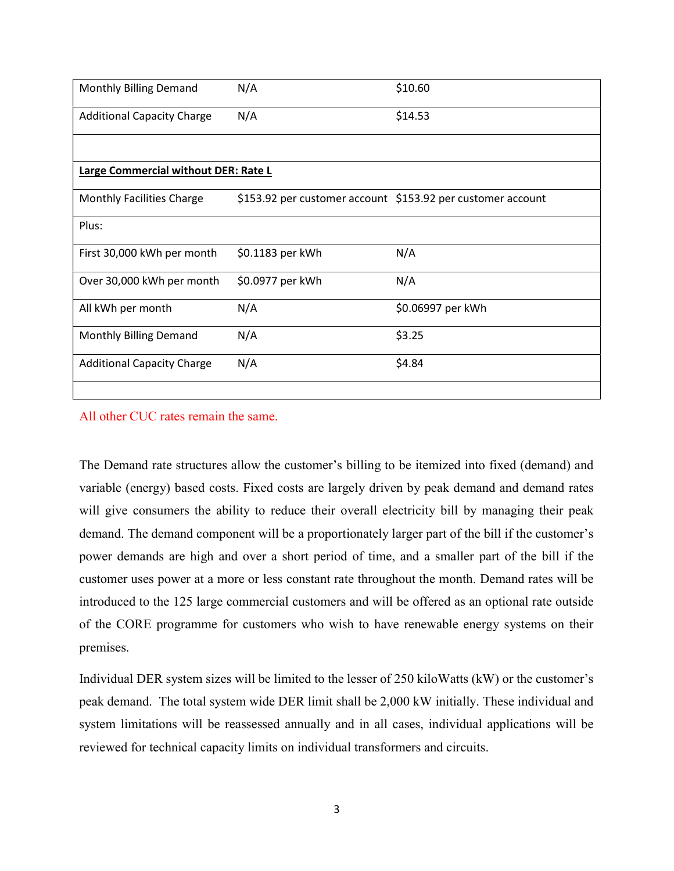| Monthly Billing Demand               | N/A              | \$10.60                                                     |  |
|--------------------------------------|------------------|-------------------------------------------------------------|--|
| <b>Additional Capacity Charge</b>    | N/A              | \$14.53                                                     |  |
|                                      |                  |                                                             |  |
| Large Commercial without DER: Rate L |                  |                                                             |  |
| <b>Monthly Facilities Charge</b>     |                  | \$153.92 per customer account \$153.92 per customer account |  |
| Plus:                                |                  |                                                             |  |
| First 30,000 kWh per month           | \$0.1183 per kWh | N/A                                                         |  |
| Over 30,000 kWh per month            | \$0.0977 per kWh | N/A                                                         |  |
| All kWh per month                    | N/A              | \$0.06997 per kWh                                           |  |
| Monthly Billing Demand               | N/A              | \$3.25                                                      |  |
| <b>Additional Capacity Charge</b>    | N/A              | \$4.84                                                      |  |
|                                      |                  |                                                             |  |

All other CUC rates remain the same.

The Demand rate structures allow the customer's billing to be itemized into fixed (demand) and variable (energy) based costs. Fixed costs are largely driven by peak demand and demand rates will give consumers the ability to reduce their overall electricity bill by managing their peak demand. The demand component will be a proportionately larger part of the bill if the customer's power demands are high and over a short period of time, and a smaller part of the bill if the customer uses power at a more or less constant rate throughout the month. Demand rates will be introduced to the 125 large commercial customers and will be offered as an optional rate outside of the CORE programme for customers who wish to have renewable energy systems on their premises.

Individual DER system sizes will be limited to the lesser of 250 kiloWatts (kW) or the customer's peak demand. The total system wide DER limit shall be 2,000 kW initially. These individual and system limitations will be reassessed annually and in all cases, individual applications will be reviewed for technical capacity limits on individual transformers and circuits.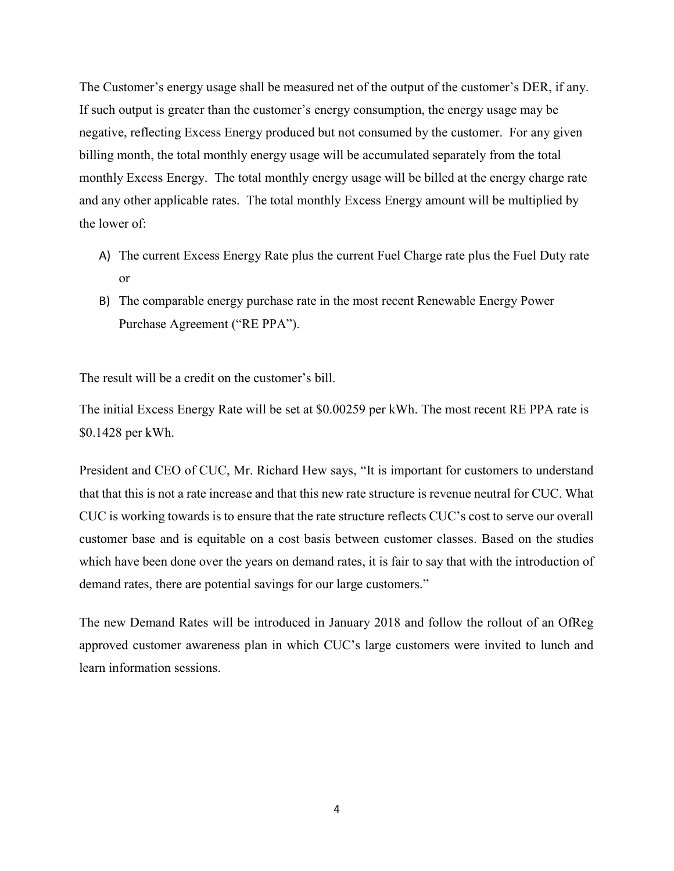The Customer's energy usage shall be measured net of the output of the customer's DER, if any. If such output is greater than the customer's energy consumption, the energy usage may be negative, reflecting Excess Energy produced but not consumed by the customer. For any given billing month, the total monthly energy usage will be accumulated separately from the total monthly Excess Energy. The total monthly energy usage will be billed at the energy charge rate and any other applicable rates. The total monthly Excess Energy amount will be multiplied by the lower of:

- A) The current Excess Energy Rate plus the current Fuel Charge rate plus the Fuel Duty rate or
- B) The comparable energy purchase rate in the most recent Renewable Energy Power Purchase Agreement ("RE PPA").

The result will be a credit on the customer's bill.

The initial Excess Energy Rate will be set at \$0.00259 per kWh. The most recent RE PPA rate is \$0.1428 per kWh.

President and CEO of CUC, Mr. Richard Hew says, "It is important for customers to understand that that this is not a rate increase and that this new rate structure is revenue neutral for CUC. What CUC is working towards is to ensure that the rate structure reflects CUC's cost to serve our overall customer base and is equitable on a cost basis between customer classes. Based on the studies which have been done over the years on demand rates, it is fair to say that with the introduction of demand rates, there are potential savings for our large customers."

The new Demand Rates will be introduced in January 2018 and follow the rollout of an OfReg approved customer awareness plan in which CUC's large customers were invited to lunch and learn information sessions.